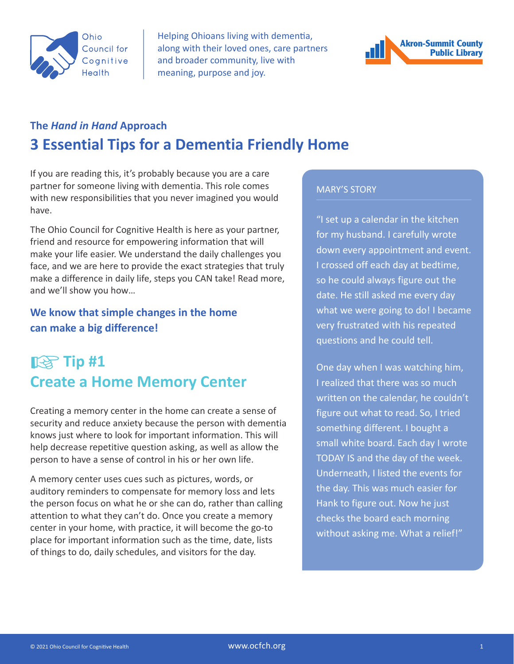

Helping Ohioans living with dementia, along with their loved ones, care partners and broader community, live with meaning, purpose and joy.



### **The** *Hand in Hand* **Approach 3 Essential Tips for a Dementia Friendly Home**

If you are reading this, it's probably because you are a care partner for someone living with dementia. This role comes with new responsibilities that you never imagined you would have.

The Ohio Council for Cognitive Health is here as your partner, friend and resource for empowering information that will make your life easier. We understand the daily challenges you face, and we are here to provide the exact strategies that truly make a difference in daily life, steps you CAN take! Read more, and we'll show you how…

#### **We know that simple changes in the home can make a big difference!**

## ☞**Tip #1 Create a Home Memory Center**

Creating a memory center in the home can create a sense of security and reduce anxiety because the person with dementia knows just where to look for important information. This will help decrease repetitive question asking, as well as allow the person to have a sense of control in his or her own life.

A memory center uses cues such as pictures, words, or auditory reminders to compensate for memory loss and lets the person focus on what he or she can do, rather than calling attention to what they can't do. Once you create a memory center in your home, with practice, it will become the go-to place for important information such as the time, date, lists of things to do, daily schedules, and visitors for the day.

#### MARY'S STORY

"I set up a calendar in the kitchen for my husband. I carefully wrote down every appointment and event. I crossed off each day at bedtime, so he could always figure out the date. He still asked me every day what we were going to do! I became very frustrated with his repeated questions and he could tell.

One day when I was watching him, I realized that there was so much written on the calendar, he couldn't figure out what to read. So, I tried something different. I bought a small white board. Each day I wrote TODAY IS and the day of the week. Underneath, I listed the events for the day. This was much easier for Hank to figure out. Now he just checks the board each morning without asking me. What a relief!"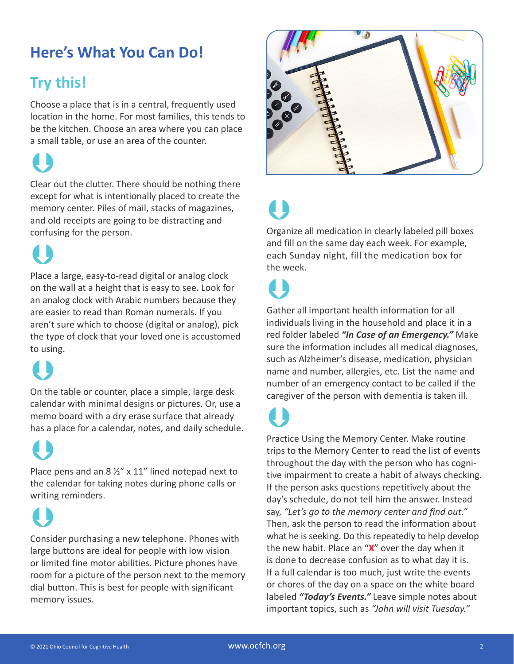## **Here's What You Can Do!**

## **Try this!**

Choose a place that is in a central, frequently used location in the home. For most families, this tends to be the kitchen. Choose an area where you can place a small table, or use an area of the counter.

## $\bigcup$

Clear out the clutter. There should be nothing there except for what is intentionally placed to create the memory center. Piles of mail, stacks of magazines, and old receipts are going to be distracting and confusing for the person.

## $\bigcup$

Place a large, easy-to-read digital or analog clock on the wall at a height that is easy to see. Look for an analog clock with Arabic numbers because they are easier to read than Roman numerals. If you aren't sure which to choose (digital or analog), pick the type of clock that your loved one is accustomed to using.

## $\bigcup$

On the table or counter, place a simple, large desk calendar with minimal designs or pictures. Or, use a memo board with a dry erase surface that already has a place for a calendar, notes, and daily schedule.

## $\bigcup$

Place pens and an 8  $\frac{1}{2}$ " x 11" lined notepad next to the calendar for taking notes during phone calls or writing reminders.

 $\bigcup$ 

Consider purchasing a new telephone. Phones with large buttons are ideal for people with low vision or limited fine motor abilities. Picture phones have room for a picture of the person next to the memory dial button. This is best for people with significant memory issues.



# $\begin{array}{c} \bullet \\ \bullet \end{array}$

Organize all medication in clearly labeled pill boxes and fill on the same day each week. For example, each Sunday night, fill the medication box for the week.

 $\begin{array}{c} \bullet \\ \bullet \end{array}$ Gather all important health information for all individuals living in the household and place it in a red folder labeled *"In Case of an Emergency."* Make sure the information includes all medical diagnoses, such as Alzheimer's disease, medication, physician name and number, allergies, etc. List the name and number of an emergency contact to be called if the caregiver of the person with dementia is taken ill.

 $\bigcup$ 

Practice Using the Memory Center. Make routine trips to the Memory Center to read the list of events throughout the day with the person who has cognitive impairment to create a habit of always checking. If the person asks questions repetitively about the day's schedule, do not tell him the answer. Instead say, *"Let's go to the memory center and find out."*  Then, ask the person to read the information about what he is seeking. Do this repeatedly to help develop the new habit. Place an "**X**" over the day when it is done to decrease confusion as to what day it is. If a full calendar is too much, just write the events or chores of the day on a space on the white board labeled *"Today's Events."* Leave simple notes about important topics, such as *"John will visit Tuesday."*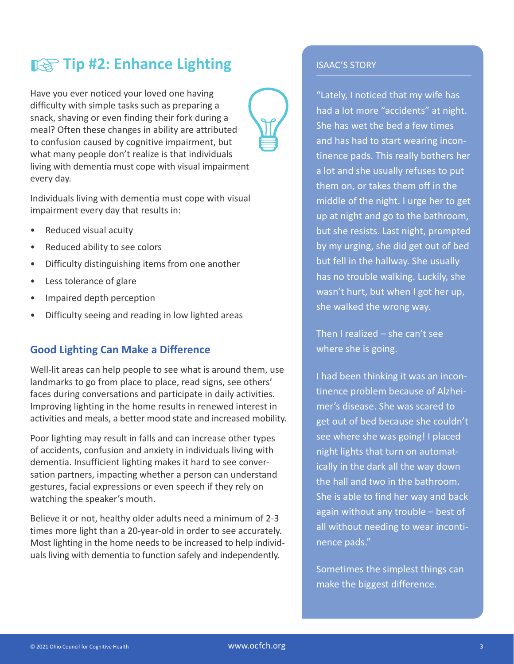### ☞**Tip #2: Enhance Lighting**

Have you ever noticed your loved one having difficulty with simple tasks such as preparing a snack, shaving or even finding their fork during a meal? Often these changes in ability are attributed to confusion caused by cognitive impairment, but what many people don't realize is that individuals living with dementia must cope with visual impairment every day.

Individuals living with dementia must cope with visual impairment every day that results in:

- Reduced visual acuity
- Reduced ability to see colors
- Difficulty distinguishing items from one another
- Less tolerance of glare
- Impaired depth perception
- Difficulty seeing and reading in low lighted areas

#### **Good Lighting Can Make a Difference**

Well-lit areas can help people to see what is around them, use landmarks to go from place to place, read signs, see others' faces during conversations and participate in daily activities. Improving lighting in the home results in renewed interest in activities and meals, a better mood state and increased mobility.

Poor lighting may result in falls and can increase other types of accidents, confusion and anxiety in individuals living with dementia. Insufficient lighting makes it hard to see conversation partners, impacting whether a person can understand gestures, facial expressions or even speech if they rely on watching the speaker's mouth.

Believe it or not, healthy older adults need a minimum of 2-3 times more light than a 20-year-old in order to see accurately. Most lighting in the home needs to be increased to help individuals living with dementia to function safely and independently.

#### ISAAC'S STORY

"Lately, I noticed that my wife has had a lot more "accidents" at night. She has wet the bed a few times and has had to start wearing incontinence pads. This really bothers her a lot and she usually refuses to put them on, or takes them off in the middle of the night. I urge her to get up at night and go to the bathroom, but she resists. Last night, prompted by my urging, she did get out of bed but fell in the hallway. She usually has no trouble walking. Luckily, she wasn't hurt, but when I got her up, she walked the wrong way.

Then I realized – she can't see where she is going.

I had been thinking it was an incontinence problem because of Alzheimer's disease. She was scared to get out of bed because she couldn't see where she was going! I placed night lights that turn on automatically in the dark all the way down the hall and two in the bathroom. She is able to find her way and back again without any trouble – best of all without needing to wear incontinence pads."

Sometimes the simplest things can make the biggest difference.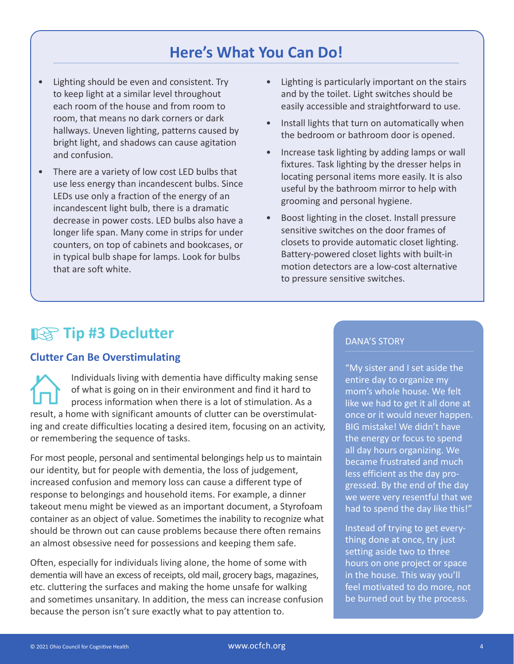### **Here's What You Can Do!**

- Lighting should be even and consistent. Try to keep light at a similar level throughout each room of the house and from room to room, that means no dark corners or dark hallways. Uneven lighting, patterns caused by bright light, and shadows can cause agitation and confusion.
- There are a variety of low cost LED bulbs that use less energy than incandescent bulbs. Since LEDs use only a fraction of the energy of an incandescent light bulb, there is a dramatic decrease in power costs. LED bulbs also have a longer life span. Many come in strips for under counters, on top of cabinets and bookcases, or in typical bulb shape for lamps. Look for bulbs that are soft white.
- Lighting is particularly important on the stairs and by the toilet. Light switches should be easily accessible and straightforward to use.
- Install lights that turn on automatically when the bedroom or bathroom door is opened.
- Increase task lighting by adding lamps or wall fixtures. Task lighting by the dresser helps in locating personal items more easily. It is also useful by the bathroom mirror to help with grooming and personal hygiene.
- Boost lighting in the closet. Install pressure sensitive switches on the door frames of closets to provide automatic closet lighting. Battery-powered closet lights with built-in motion detectors are a low-cost alternative to pressure sensitive switches.

## ☞**Tip #3 Declutter**

#### **Clutter Can Be Overstimulating**

Individuals living with dementia have difficulty making sense of what is going on in their environment and find it hard to process information when there is a lot of stimulation. As a result, a home with significant amounts of clutter can be overstimulating and create difficulties locating a desired item, focusing on an activity, or remembering the sequence of tasks.

For most people, personal and sentimental belongings help us to maintain our identity, but for people with dementia, the loss of judgement, increased confusion and memory loss can cause a different type of response to belongings and household items. For example, a dinner takeout menu might be viewed as an important document, a Styrofoam container as an object of value. Sometimes the inability to recognize what should be thrown out can cause problems because there often remains an almost obsessive need for possessions and keeping them safe.

Often, especially for individuals living alone, the home of some with dementia will have an excess of receipts, old mail, grocery bags, magazines, etc. cluttering the surfaces and making the home unsafe for walking and sometimes unsanitary. In addition, the mess can increase confusion because the person isn't sure exactly what to pay attention to.

#### DANA'S STORY

"My sister and I set aside the entire day to organize my mom's whole house. We felt like we had to get it all done at once or it would never happen. BIG mistake! We didn't have the energy or focus to spend all day hours organizing. We became frustrated and much less efficient as the day progressed. By the end of the day we were very resentful that we had to spend the day like this!"

Instead of trying to get everything done at once, try just setting aside two to three hours on one project or space in the house. This way you'll feel motivated to do more, not be burned out by the process.